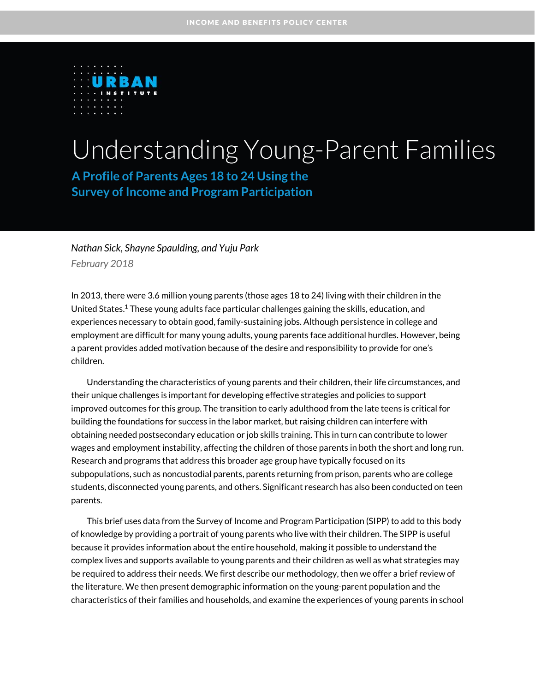

# Understanding Young-Parent Families

**A Profile of Parents Ages 18 to 24 Using the Survey of Income and Program Participation**

# *Nathan Sick, Shayne Spaulding, and Yuju Park February 2018*

In 2013, there were 3.6 million young parents (those ages 18 to 24) living with their children in the United States.<sup>1</sup> These young adults face particular challenges gaining the skills, education, and experiences necessary to obtain good, family-sustaining jobs. Although persistence in college and employment are difficult for many young adults, young parents face additional hurdles. However, being a parent provides added motivation because of the desire and responsibility to provide for one's children.

Understanding the characteristics of young parents and their children, their life circumstances, and their unique challenges is important for developing effective strategies and policies to support improved outcomes for this group. The transition to early adulthood from the late teens is critical for building the foundations for success in the labor market, but raising children can interfere with obtaining needed postsecondary education or job skills training. This in turn can contribute to lower wages and employment instability, affecting the children of those parents in both the short and long run. Research and programs that address this broader age group have typically focused on its subpopulations, such as noncustodial parents, parents returning from prison, parents who are college students, disconnected young parents, and others. Significant research has also been conducted on teen parents.

This brief uses data from the Survey of Income and Program Participation (SIPP) to add to this body of knowledge by providing a portrait of young parents who live with their children. The SIPP is useful because it provides information about the entire household, making it possible to understand the complex lives and supports available to young parents and their children as well as what strategies may be required to address their needs. We first describe our methodology, then we offer a brief review of the literature. We then present demographic information on the young-parent population and the characteristics of their families and households, and examine the experiences of young parents in school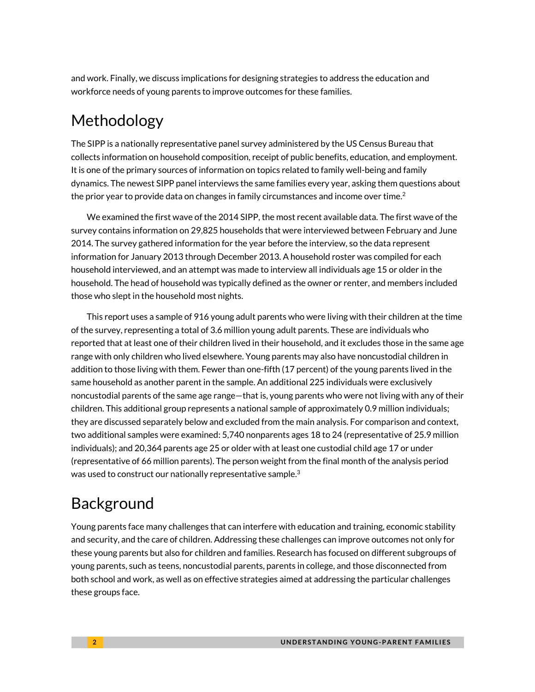and work. Finally, we discuss implications for designing strategies to address the education and workforce needs of young parents to improve outcomes for these families.

# Methodology

The SIPP is a nationally representative panel survey administered by the US Census Bureau that collects information on household composition, receipt of public benefits, education, and employment. It is one of the primary sources of information on topics related to family well-being and family dynamics. The newest SIPP panel interviews the same families every year, asking them questions about the prior year to provide data on changes in family circumstances and income over time.<sup>2</sup>

We examined the first wave of the 2014 SIPP, the most recent available data. The first wave of the survey contains information on 29,825 households that were interviewed between February and June 2014. The survey gathered information for the year before the interview, so the data represent information for January 2013 through December 2013. A household roster was compiled for each household interviewed, and an attempt was made to interview all individuals age 15 or older in the household. The head of household was typically defined as the owner or renter, and members included those who slept in the household most nights.

This report uses a sample of 916 young adult parents who were living with their children at the time of the survey, representing a total of 3.6 million young adult parents. These are individuals who reported that at least one of their children lived in their household, and it excludes those in the same age range with only children who lived elsewhere. Young parents may also have noncustodial children in addition to those living with them. Fewer than one-fifth (17 percent) of the young parents lived in the same household as another parent in the sample. An additional 225 individuals were exclusively noncustodial parents of the same age range—that is, young parents who were not living with any of their children. This additional group represents a national sample of approximately 0.9 million individuals; they are discussed separately below and excluded from the main analysis. For comparison and context, two additional samples were examined: 5,740 nonparents ages 18 to 24 (representative of 25.9 million individuals); and 20,364 parents age 25 or older with at least one custodial child age 17 or under (representative of 66 million parents). The person weight from the final month of the analysis period was used to construct our nationally representative sample.<sup>3</sup>

# Background

Young parents face many challenges that can interfere with education and training, economic stability and security, and the care of children. Addressing these challenges can improve outcomes not only for these young parents but also for children and families. Research has focused on different subgroups of young parents, such as teens, noncustodial parents, parents in college, and those disconnected from both school and work, as well as on effective strategies aimed at addressing the particular challenges these groups face.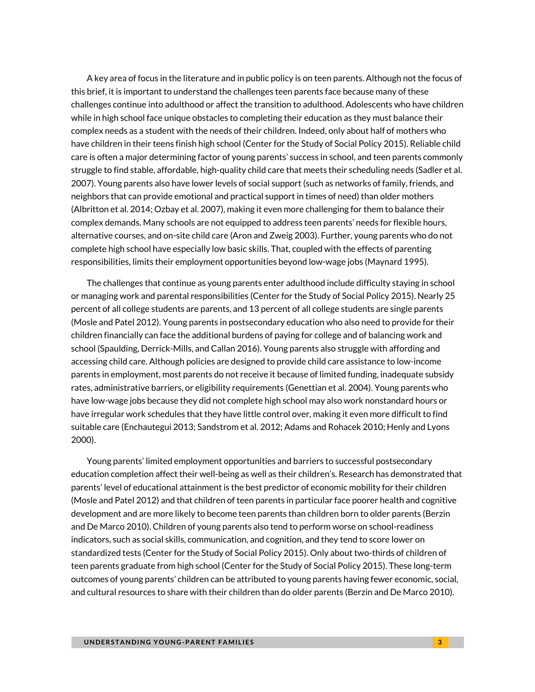A key area of focus in the literature and in public policy is on teen parents. Although not the focus of this brief, it is important to understand the challenges teen parents face because many of these challenges continue into adulthood or affect the transition to adulthood. Adolescents who have children while in high school face unique obstacles to completing their education as they must balance their complex needs as a student with the needs of their children. Indeed, only about half of mothers who have children in their teens finish high school (Center for the Study of Social Policy 2015). Reliable child care is often a major determining factor of young parents' success in school, and teen parents commonly struggle to find stable, affordable, high-quality child care that meets their scheduling needs (Sadler et al. 2007). Young parents also have lower levels of social support (such as networks of family, friends, and neighbors that can provide emotional and practical support in times of need) than older mothers (Albritton et al. 2014; Ozbay et al. 2007), making it even more challenging for them to balance their complex demands. Many schools are not equipped to address teen parents' needs for flexible hours, alternative courses, and on-site child care (Aron and Zweig 2003). Further, young parents who do not complete high school have especially low basic skills. That, coupled with the effects of parenting responsibilities, limits their employment opportunities beyond low-wage jobs (Maynard 1995).

The challenges that continue as young parents enter adulthood include difficulty staying in school or managing work and parental responsibilities (Center for the Study of Social Policy 2015). Nearly 25 percent of all college students are parents, and 13 percent of all college students are single parents (Mosle and Patel 2012). Young parents in postsecondary education who also need to provide for their children financially can face the additional burdens of paying for college and of balancing work and school (Spaulding, Derrick-Mills, and Callan 2016). Young parents also struggle with affording and accessing child care. Although policies are designed to provide child care assistance to low-income parents in employment, most parents do not receive it because of limited funding, inadequate subsidy rates, administrative barriers, or eligibility requirements (Genettian et al. 2004). Young parents who have low-wage jobs because they did not complete high school may also work nonstandard hours or have irregular work schedules that they have little control over, making it even more difficult to find suitable care (Enchautegui 2013; Sandstrom et al. 2012; Adams and Rohacek 2010; Henly and Lyons 2000).

Young parents' limited employment opportunities and barriers to successful postsecondary education completion affect their well-being as well as their children's. Research has demonstrated that parents' level of educational attainment is the best predictor of economic mobility for their children (Mosle and Patel 2012) and that children of teen parents in particular face poorer health and cognitive development and are more likely to become teen parents than children born to older parents (Berzin and De Marco 2010). Children of young parents also tend to perform worse on school-readiness indicators, such as social skills, communication, and cognition, and they tend to score lower on standardized tests (Center for the Study of Social Policy 2015). Only about two-thirds of children of teen parents graduate from high school (Center for the Study of Social Policy 2015). These long-term outcomes of young parents' children can be attributed to young parents having fewer economic, social, and cultural resources to share with their children than do older parents (Berzin and De Marco 2010).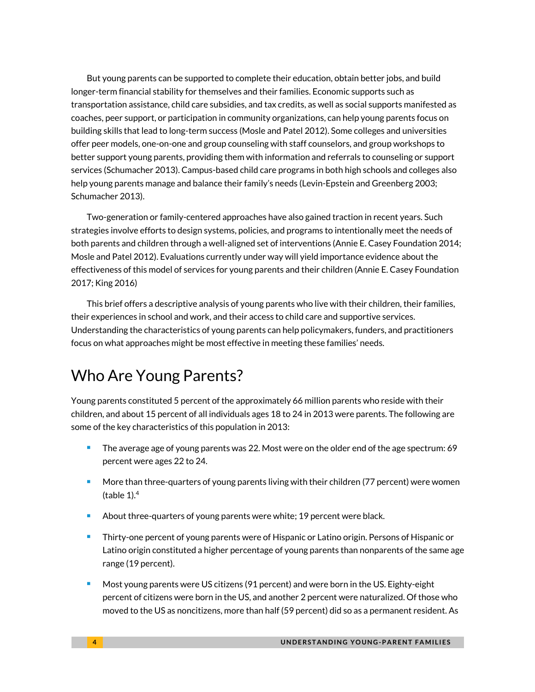But young parents can be supported to complete their education, obtain better jobs, and build longer-term financial stability for themselves and their families. Economic supports such as transportation assistance, child care subsidies, and tax credits, as well as social supports manifested as coaches, peer support, or participation in community organizations, can help young parents focus on building skills that lead to long-term success (Mosle and Patel 2012). Some colleges and universities offer peer models, one-on-one and group counseling with staff counselors, and group workshops to better support young parents, providing them with information and referrals to counseling or support services (Schumacher 2013). Campus-based child care programs in both high schools and colleges also help young parents manage and balance their family's needs (Levin-Epstein and Greenberg 2003; Schumacher 2013).

Two-generation or family-centered approaches have also gained traction in recent years. Such strategies involve efforts to design systems, policies, and programs to intentionally meet the needs of both parents and children through a well-aligned set of interventions (Annie E. Casey Foundation 2014; Mosle and Patel 2012). Evaluations currently under way will yield importance evidence about the effectiveness of this model of services for young parents and their children (Annie E. Casey Foundation 2017; King 2016)

This brief offers a descriptive analysis of young parents who live with their children, their families, their experiences in school and work, and their access to child care and supportive services. Understanding the characteristics of young parents can help policymakers, funders, and practitioners focus on what approaches might be most effective in meeting these families' needs.

# Who Are Young Parents?

Young parents constituted 5 percent of the approximately 66 million parents who reside with their children, and about 15 percent of all individuals ages 18 to 24 in 2013 were parents. The following are some of the key characteristics of this population in 2013:

- The average age of young parents was 22. Most were on the older end of the age spectrum: 69 percent were ages 22 to 24.
- More than three-quarters of young parents living with their children (77 percent) were women (table  $1$ ).<sup>4</sup>
- About three-quarters of young parents were white; 19 percent were black.
- **Thirty-one percent of young parents were of Hispanic or Latino origin. Persons of Hispanic or** Latino origin constituted a higher percentage of young parents than nonparents of the same age range (19 percent).
- Most young parents were US citizens (91 percent) and were born in the US. Eighty-eight percent of citizens were born in the US, and another 2 percent were naturalized. Of those who moved to the US as noncitizens, more than half (59 percent) did so as a permanent resident. As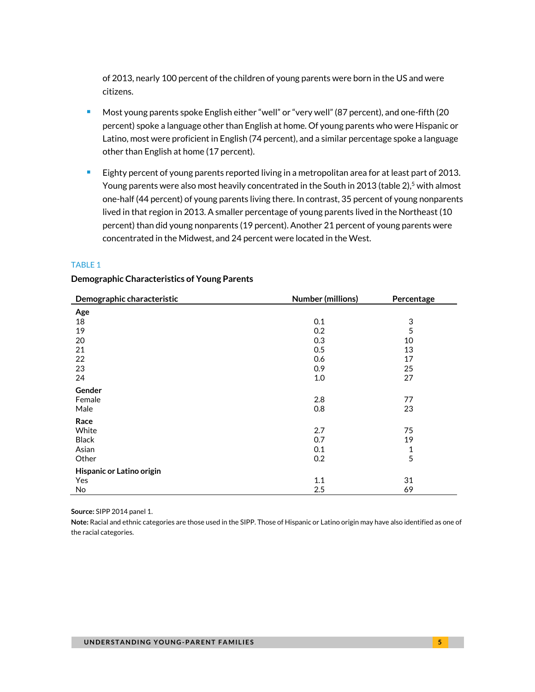of 2013, nearly 100 percent of the children of young parents were born in the US and were citizens.

- **Most young parents spoke English either "well" or "very well" (87 percent), and one-fifth (20** percent) spoke a language other than English at home. Of young parents who were Hispanic or Latino, most were proficient in English (74 percent), and a similar percentage spoke a language other than English at home (17 percent).
- **Eighty percent of young parents reported living in a metropolitan area for at least part of 2013.** Young parents were also most heavily concentrated in the South in 2013 (table 2),<sup>5</sup> with almost one-half (44 percent) of young parents living there. In contrast, 35 percent of young nonparents lived in that region in 2013. A smaller percentage of young parents lived in the Northeast (10 percent) than did young nonparents (19 percent). Another 21 percent of young parents were concentrated in the Midwest, and 24 percent were located in the West.

# TABLE 1

### **Demographic Characteristics of Young Parents**

| Demographic characteristic | Number (millions) | Percentage                |
|----------------------------|-------------------|---------------------------|
| Age                        |                   |                           |
| 18                         | 0.1               | $\ensuremath{\mathsf{3}}$ |
| 19                         | 0.2               | 5                         |
| 20                         | 0.3               | 10                        |
| 21                         | 0.5               | 13                        |
| 22                         | 0.6               | 17                        |
| 23                         | 0.9               | 25                        |
| 24                         | $1.0\,$           | 27                        |
| Gender                     |                   |                           |
| Female                     | 2.8               | 77                        |
| Male                       | 0.8               | 23                        |
| Race                       |                   |                           |
| White                      | 2.7               | 75                        |
| <b>Black</b>               | 0.7               | 19                        |
| Asian                      | 0.1               | $\mathbf{1}$              |
| Other                      | 0.2               | 5                         |
| Hispanic or Latino origin  |                   |                           |
| Yes                        | 1.1               | 31                        |
| No                         | 2.5               | 69                        |

**Source:** SIPP 2014 panel 1.

**Note:** Racial and ethnic categories are those used in the SIPP. Those of Hispanic or Latino origin may have also identified as one of the racial categories.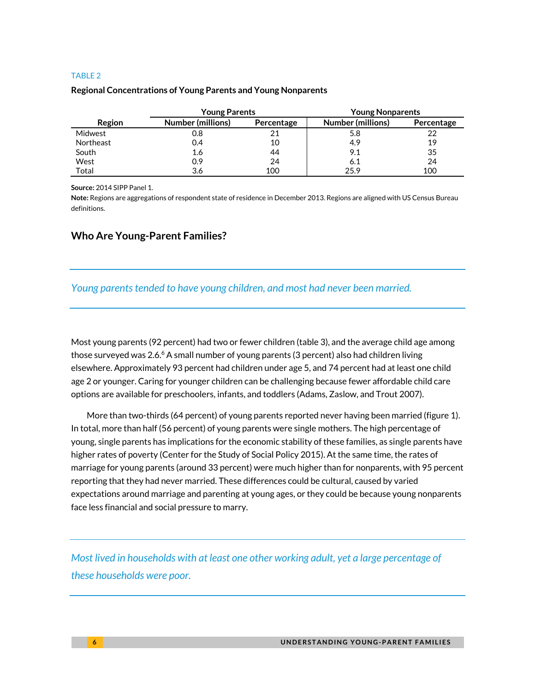### TABLE 2

### **Regional Concentrations of Young Parents and Young Nonparents**

|                  | <b>Young Parents</b>     |            | <b>Young Nonparents</b>  |            |
|------------------|--------------------------|------------|--------------------------|------------|
| Region           | <b>Number (millions)</b> | Percentage | <b>Number (millions)</b> | Percentage |
| Midwest          | 0.8                      |            | 5.8                      | 22         |
| <b>Northeast</b> | 0.4                      | 10         | 4.9                      | 19         |
| South            | 1.6                      | 44         | 9.1                      | 35         |
| West             | 0.9                      | 24         | 6.1                      | 24         |
| Total            | 3.6                      | 100        | 25.9                     | 100        |

**Source:** 2014 SIPP Panel 1.

**Note:** Regions are aggregations of respondent state of residence in December 2013. Regions are aligned with US Census Bureau definitions.

# **Who Are Young-Parent Families?**

# *Young parents tended to have young children, and most had never been married.*

Most young parents (92 percent) had two or fewer children (table 3), and the average child age among those surveyed was 2.6. $^6$  A small number of young parents (3 percent) also had children living elsewhere. Approximately 93 percent had children under age 5, and 74 percent had at least one child age 2 or younger. Caring for younger children can be challenging because fewer affordable child care options are available for preschoolers, infants, and toddlers (Adams, Zaslow, and Trout 2007).

More than two-thirds (64 percent) of young parents reported never having been married (figure 1). In total, more than half (56 percent) of young parents were single mothers. The high percentage of young, single parents has implications for the economic stability of these families, as single parents have higher rates of poverty (Center for the Study of Social Policy 2015). At the same time, the rates of marriage for young parents (around 33 percent) were much higher than for nonparents, with 95 percent reporting that they had never married. These differences could be cultural, caused by varied expectations around marriage and parenting at young ages, or they could be because young nonparents face less financial and social pressure to marry.

*Most lived in households with at least one other working adult, yet a large percentage of these households were poor.*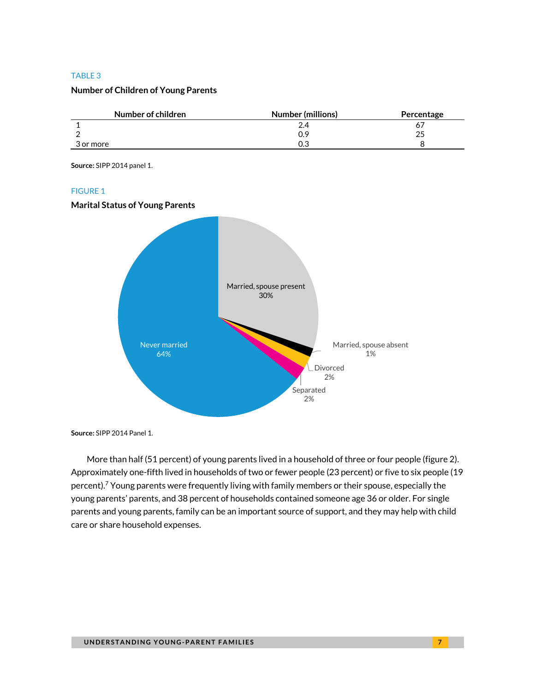### TABLE 3

# **Number of Children of Young Parents**

| Number of children | Number (millions) | Percentage |
|--------------------|-------------------|------------|
|                    | 2.4               |            |
|                    | 0.9               | 25         |
| 3 or more          | 0.3               |            |

**Source:** SIPP 2014 panel 1.

#### FIGURE 1

### **Marital Status of Young Parents**



**Source:** SIPP 2014 Panel 1.

More than half (51 percent) of young parents lived in a household of three or four people (figure 2). Approximately one-fifth lived in households of two or fewer people (23 percent) or five to six people (19 percent).<sup>7</sup> Young parents were frequently living with family members or their spouse, especially the young parents' parents, and 38 percent of households contained someone age 36 or older. For single parents and young parents, family can be an important source of support, and they may help with child care or share household expenses.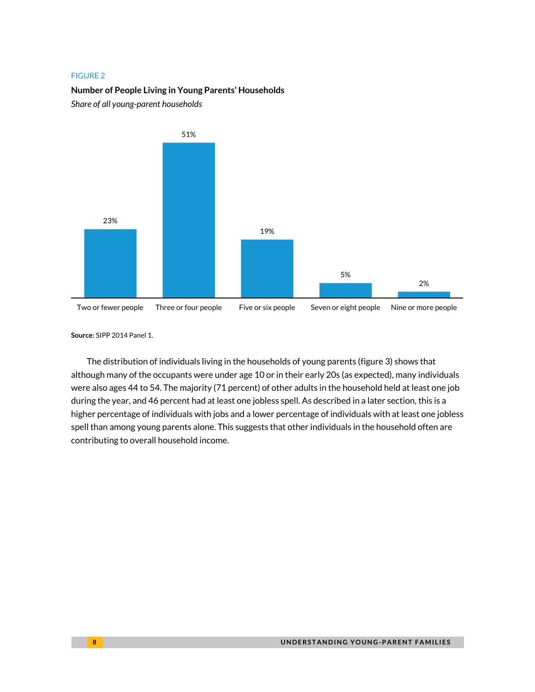# **Number of People Living in Young Parents' Households**

*Share of all young-parent households*



**Source:** SIPP 2014 Panel 1.

The distribution of individuals living in the households of young parents (figure 3) shows that although many of the occupants were under age 10 or in their early 20s (as expected), many individuals were also ages 44 to 54. The majority (71 percent) of other adults in the household held at least one job during the year, and 46 percent had at least one jobless spell. As described in a later section, this is a higher percentage of individuals with jobs and a lower percentage of individuals with at least one jobless spell than among young parents alone. This suggests that other individuals in the household often are contributing to overall household income.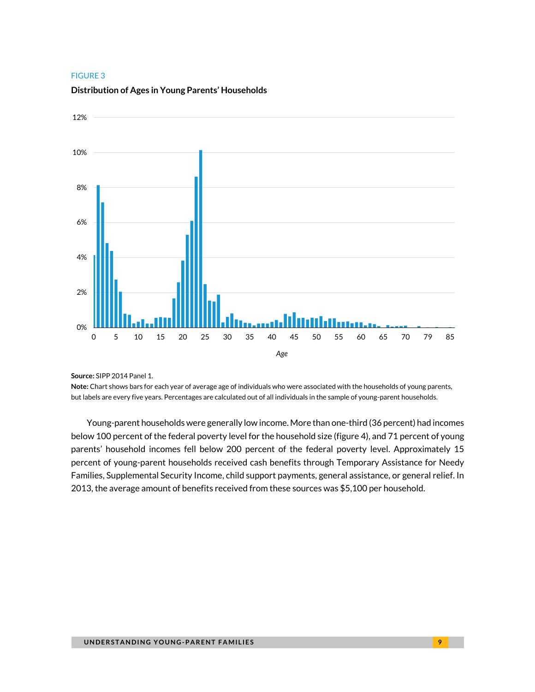

#### **Distribution of Ages in Young Parents' Households**

**Source:** SIPP 2014 Panel 1.

**Note:** Chart shows bars for each year of average age of individuals who were associated with the households of young parents, but labels are every five years. Percentages are calculated out of all individuals in the sample of young-parent households.

Young-parent households were generally low income. More than one-third (36 percent) had incomes below 100 percent of the federal poverty level for the household size (figure 4), and 71 percent of young parents' household incomes fell below 200 percent of the federal poverty level. Approximately 15 percent of young-parent households received cash benefits through Temporary Assistance for Needy Families, Supplemental Security Income, child support payments, general assistance, or general relief. In 2013, the average amount of benefits received from these sources was \$5,100 per household.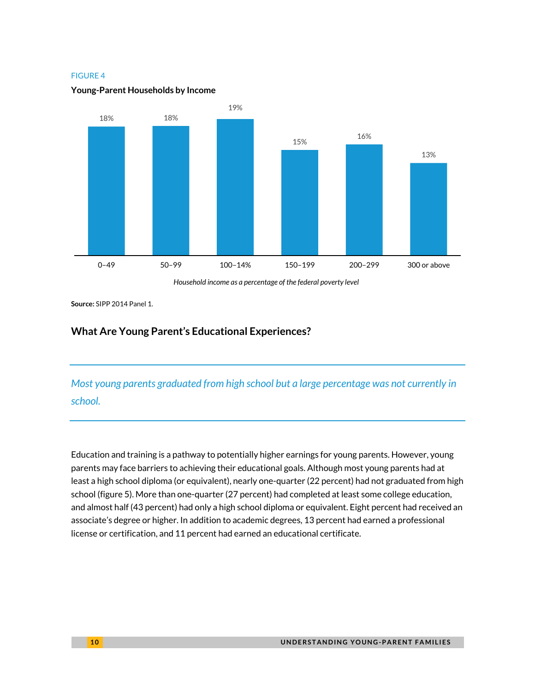

### **Young-Parent Households by Income**

*Household income as a percentage of the federal poverty level*

**Source:** SIPP 2014 Panel 1.

# **What Are Young Parent's Educational Experiences?**

*Most young parents graduated from high school but a large percentage was not currently in school.*

Education and training is a pathway to potentially higher earnings for young parents. However, young parents may face barriers to achieving their educational goals. Although most young parents had at least a high school diploma (or equivalent), nearly one-quarter (22 percent) had not graduated from high school (figure 5). More than one-quarter (27 percent) had completed at least some college education, and almost half (43 percent) had only a high school diploma or equivalent. Eight percent had received an associate's degree or higher. In addition to academic degrees, 13 percent had earned a professional license or certification, and 11 percent had earned an educational certificate.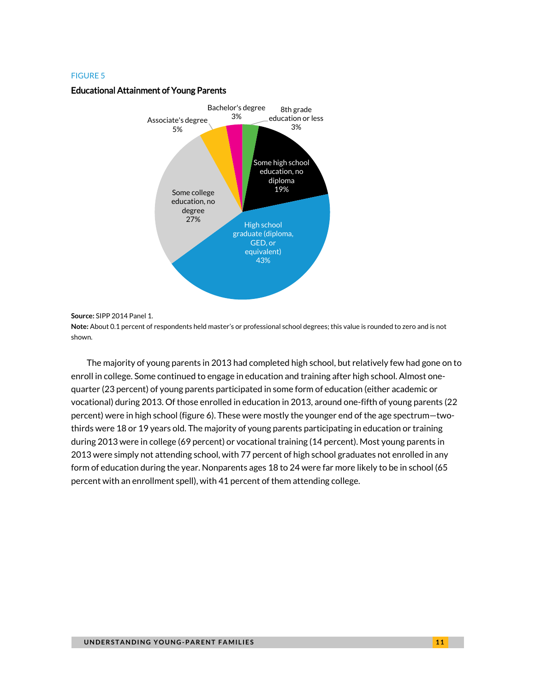#### Educational Attainment of Young Parents



**Source:** SIPP 2014 Panel 1.

**Note:** About 0.1 percent of respondents held master's or professional school degrees; this value is rounded to zero and is not shown.

The majority of young parents in 2013 had completed high school, but relatively few had gone on to enroll in college. Some continued to engage in education and training after high school. Almost onequarter (23 percent) of young parents participated in some form of education (either academic or vocational) during 2013. Of those enrolled in education in 2013, around one-fifth of young parents (22 percent) were in high school (figure 6). These were mostly the younger end of the age spectrum—twothirds were 18 or 19 years old. The majority of young parents participating in education or training during 2013 were in college (69 percent) or vocational training (14 percent). Most young parents in 2013 were simply not attending school, with 77 percent of high school graduates not enrolled in any form of education during the year. Nonparents ages 18 to 24 were far more likely to be in school (65 percent with an enrollment spell), with 41 percent of them attending college.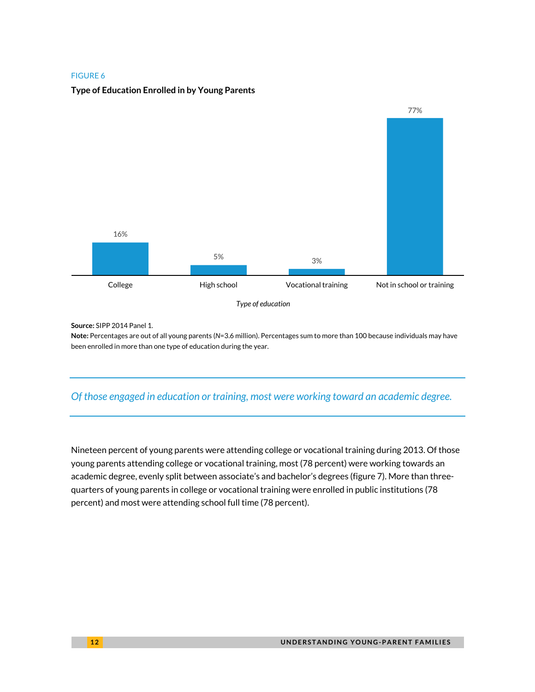

# **Type of Education Enrolled in by Young Parents**

**Source:** SIPP 2014 Panel 1.

**Note:** Percentages are out of all young parents (*N*=3.6 million). Percentages sum to more than 100 because individuals may have been enrolled in more than one type of education during the year.

# *Of those engaged in education or training, most were working toward an academic degree.*

Nineteen percent of young parents were attending college or vocational training during 2013. Of those young parents attending college or vocational training, most (78 percent) were working towards an academic degree, evenly split between associate's and bachelor's degrees (figure 7). More than threequarters of young parents in college or vocational training were enrolled in public institutions (78 percent) and most were attending school full time (78 percent).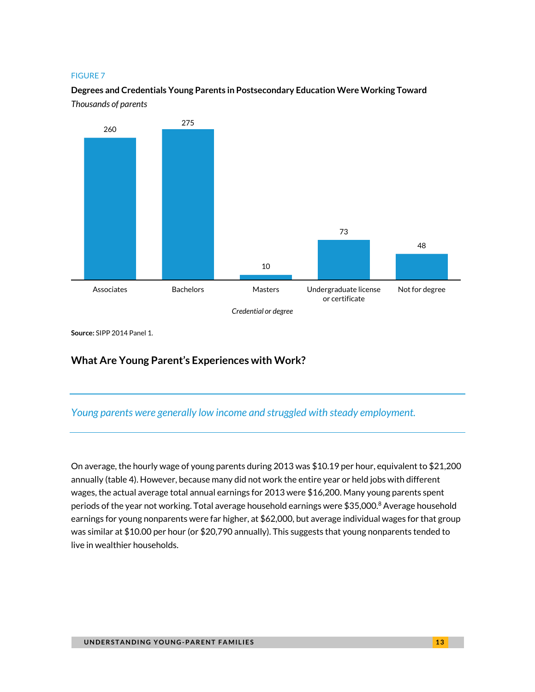# **Degrees and Credentials Young Parents in Postsecondary Education Were Working Toward** *Thousands of parents*



**Source:** SIPP 2014 Panel 1.

# **What Are Young Parent's Experiences with Work?**

# *Young parents were generally low income and struggled with steady employment.*

On average, the hourly wage of young parents during 2013 was \$10.19 per hour, equivalent to \$21,200 annually (table 4). However, because many did not work the entire year or held jobs with different wages, the actual average total annual earnings for 2013 were \$16,200. Many young parents spent periods of the year not working. Total average household earnings were \$35,000.8 Average household earnings for young nonparents were far higher, at \$62,000, but average individual wages for that group was similar at \$10.00 per hour (or \$20,790 annually). This suggests that young nonparents tended to live in wealthier households.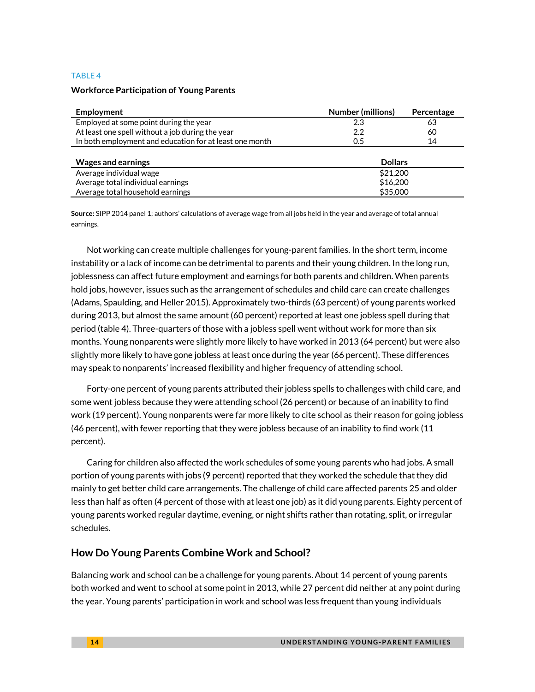### TABLE 4

# **Workforce Participation of Young Parents**

| Employment                                              | <b>Number (millions)</b><br>Percentage |    |  |
|---------------------------------------------------------|----------------------------------------|----|--|
| Employed at some point during the year                  | 2.3<br>63                              |    |  |
| At least one spell without a job during the year        | 2.2                                    | 60 |  |
| In both employment and education for at least one month | 0.5                                    | 14 |  |
|                                                         |                                        |    |  |
| <b>Wages and earnings</b>                               | <b>Dollars</b>                         |    |  |
| Average individual wage                                 | \$21,200                               |    |  |
| Average total individual earnings                       | \$16,200                               |    |  |
| Average total household earnings                        | \$35,000                               |    |  |

**Source:** SIPP 2014 panel 1; authors' calculations of average wage from all jobs held in the year and average of total annual earnings.

Not working can create multiple challenges for young-parent families. In the short term, income instability or a lack of income can be detrimental to parents and their young children. In the long run, joblessness can affect future employment and earnings for both parents and children. When parents hold jobs, however, issues such as the arrangement of schedules and child care can create challenges (Adams, Spaulding, and Heller 2015). Approximately two-thirds (63 percent) of young parents worked during 2013, but almost the same amount (60 percent) reported at least one jobless spell during that period (table 4). Three-quarters of those with a jobless spell went without work for more than six months. Young nonparents were slightly more likely to have worked in 2013 (64 percent) but were also slightly more likely to have gone jobless at least once during the year (66 percent). These differences may speak to nonparents' increased flexibility and higher frequency of attending school.

Forty-one percent of young parents attributed their jobless spells to challenges with child care, and some went jobless because they were attending school (26 percent) or because of an inability to find work (19 percent). Young nonparents were far more likely to cite school as their reason for going jobless (46 percent), with fewer reporting that they were jobless because of an inability to find work (11 percent).

Caring for children also affected the work schedules of some young parents who had jobs. A small portion of young parents with jobs (9 percent) reported that they worked the schedule that they did mainly to get better child care arrangements. The challenge of child care affected parents 25 and older less than half as often (4 percent of those with at least one job) as it did young parents. Eighty percent of young parents worked regular daytime, evening, or night shifts rather than rotating, split, or irregular schedules.

# **How Do Young Parents Combine Work and School?**

Balancing work and school can be a challenge for young parents. About 14 percent of young parents both worked and went to school at some point in 2013, while 27 percent did neither at any point during the year. Young parents' participation in work and school was less frequent than young individuals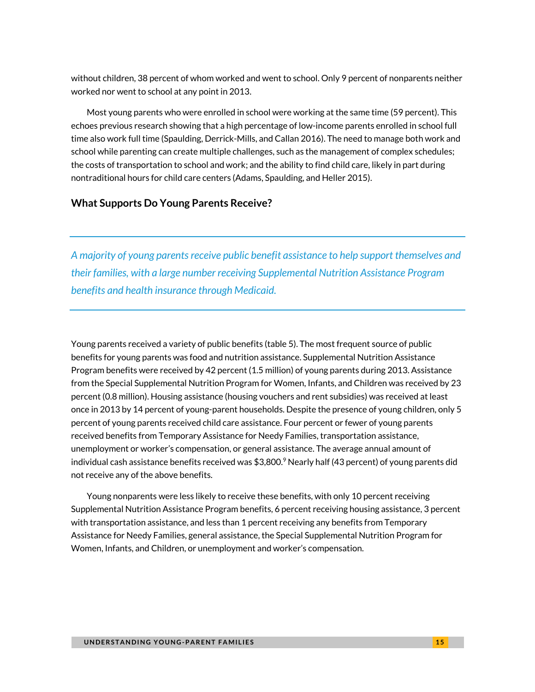without children, 38 percent of whom worked and went to school. Only 9 percent of nonparents neither worked nor went to school at any point in 2013.

Most young parents who were enrolled in school were working at the same time (59 percent). This echoes previous research showing that a high percentage of low-income parents enrolled in school full time also work full time (Spaulding, Derrick-Mills, and Callan 2016). The need to manage both work and school while parenting can create multiple challenges, such as the management of complex schedules; the costs of transportation to school and work; and the ability to find child care, likely in part during nontraditional hours for child care centers (Adams, Spaulding, and Heller 2015).

# **What Supports Do Young Parents Receive?**

*A majority of young parents receive public benefit assistance to help support themselves and their families, with a large number receiving Supplemental Nutrition Assistance Program benefits and health insurance through Medicaid.*

Young parents received a variety of public benefits (table 5). The most frequent source of public benefits for young parents was food and nutrition assistance. Supplemental Nutrition Assistance Program benefits were received by 42 percent (1.5 million) of young parents during 2013. Assistance from the Special Supplemental Nutrition Program for Women, Infants, and Children was received by 23 percent (0.8 million). Housing assistance (housing vouchers and rent subsidies) was received at least once in 2013 by 14 percent of young-parent households. Despite the presence of young children, only 5 percent of young parents received child care assistance. Four percent or fewer of young parents received benefits from Temporary Assistance for Needy Families, transportation assistance, unemployment or worker's compensation, or general assistance. The average annual amount of individual cash assistance benefits received was  $$3,800$ . Nearly half (43 percent) of young parents did not receive any of the above benefits.

Young nonparents were less likely to receive these benefits, with only 10 percent receiving Supplemental Nutrition Assistance Program benefits, 6 percent receiving housing assistance, 3 percent with transportation assistance, and less than 1 percent receiving any benefits from Temporary Assistance for Needy Families, general assistance, the Special Supplemental Nutrition Program for Women, Infants, and Children, or unemployment and worker's compensation.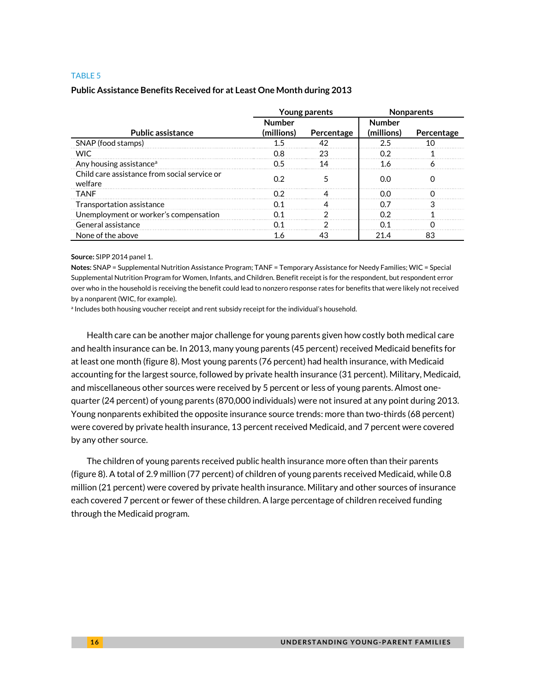#### TABLE 5

### **Public Assistance Benefits Received for at Least One Month during 2013**

|                                                         | Young parents |            | <b>Nonparents</b> |            |
|---------------------------------------------------------|---------------|------------|-------------------|------------|
|                                                         | <b>Number</b> |            | Number            |            |
| <b>Public assistance</b>                                | (millions)    | Percentage | (millions)        | Percentage |
| SNAP (food stamps)                                      |               |            |                   |            |
| <b>WIC</b>                                              |               | 23         |                   |            |
| Any housing assistance <sup>a</sup>                     |               |            |                   |            |
| Child care assistance from social service or<br>welfare | በ 2           |            | იი                |            |
| <b>TANF</b>                                             | ΩG            |            | 00                |            |
| Transportation assistance                               |               |            |                   |            |
| Unemployment or worker's compensation                   |               |            |                   |            |
| General assistance                                      |               |            |                   |            |
| None of the above                                       | I.6           |            | 21 4              |            |

**Source:** SIPP 2014 panel 1.

**Notes:** SNAP = Supplemental Nutrition Assistance Program; TANF = Temporary Assistance for Needy Families; WIC = Special Supplemental Nutrition Program for Women, Infants, and Children. Benefit receipt is for the respondent, but respondent error over who in the household is receiving the benefit could lead to nonzero response rates for benefits that were likely not received by a nonparent (WIC, for example).

a Includes both housing voucher receipt and rent subsidy receipt for the individual's household.

Health care can be another major challenge for young parents given how costly both medical care and health insurance can be. In 2013, many young parents (45 percent) received Medicaid benefits for at least one month (figure 8). Most young parents (76 percent) had health insurance, with Medicaid accounting for the largest source, followed by private health insurance (31 percent). Military, Medicaid, and miscellaneous other sources were received by 5 percent or less of young parents. Almost onequarter (24 percent) of young parents (870,000 individuals) were not insured at any point during 2013. Young nonparents exhibited the opposite insurance source trends: more than two-thirds (68 percent) were covered by private health insurance, 13 percent received Medicaid, and 7 percent were covered by any other source.

The children of young parents received public health insurance more often than their parents (figure 8). A total of 2.9 million (77 percent) of children of young parents received Medicaid, while 0.8 million (21 percent) were covered by private health insurance. Military and other sources of insurance each covered 7 percent or fewer of these children. A large percentage of children received funding through the Medicaid program.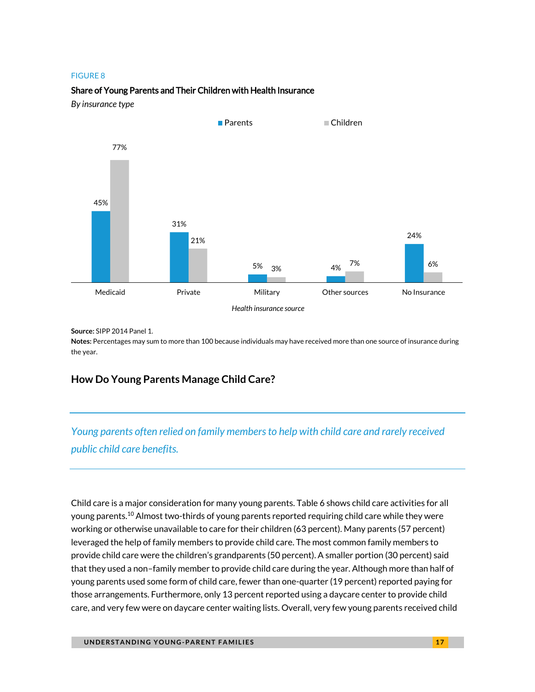# Share of Young Parents and Their Children with Health Insurance

*By insurance type*



**Source:** SIPP 2014 Panel 1.

**Notes:** Percentages may sum to more than 100 because individuals may have received more than one source of insurance during the year.

# **How Do Young Parents Manage Child Care?**

*Young parents often relied on family members to help with child care and rarely received public child care benefits.*

Child care is a major consideration for many young parents. Table 6 shows child care activities for all young parents.<sup>10</sup> Almost two-thirds of young parents reported requiring child care while they were working or otherwise unavailable to care for their children (63 percent). Many parents (57 percent) leveraged the help of family members to provide child care. The most common family members to provide child care were the children's grandparents (50 percent). A smaller portion (30 percent) said that they used a non–family member to provide child care during the year. Although more than half of young parents used some form of child care, fewer than one-quarter (19 percent) reported paying for those arrangements. Furthermore, only 13 percent reported using a daycare center to provide child care, and very few were on daycare center waiting lists. Overall, very few young parents received child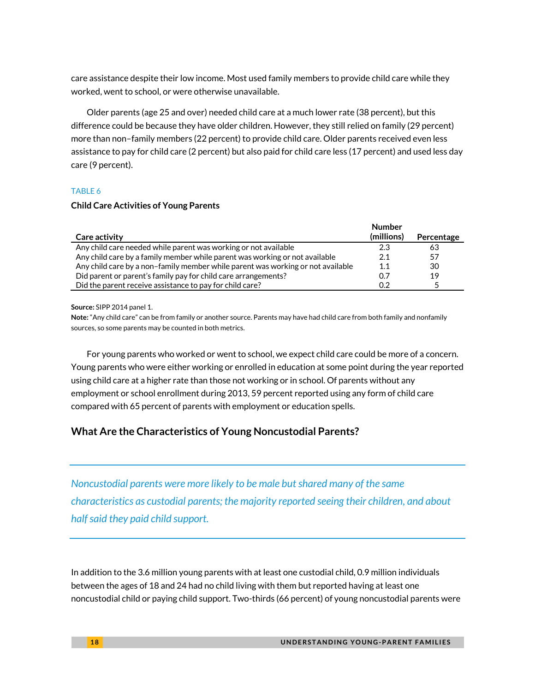care assistance despite their low income. Most used family members to provide child care while they worked, went to school, or were otherwise unavailable.

Older parents (age 25 and over) needed child care at a much lower rate (38 percent), but this difference could be because they have older children. However, they still relied on family (29 percent) more than non–family members (22 percent) to provide child care. Older parents received even less assistance to pay for child care (2 percent) but also paid for child care less (17 percent) and used less day care (9 percent).

### TABLE 6

### **Child Care Activities of Young Parents**

|                                                                                 | <b>Number</b> |            |
|---------------------------------------------------------------------------------|---------------|------------|
| Care activity                                                                   | (millions)    | Percentage |
| Any child care needed while parent was working or not available                 | 2.3           | 63         |
| Any child care by a family member while parent was working or not available     | 2.1           | 57         |
| Any child care by a non-family member while parent was working or not available | 1.1           | 30         |
| Did parent or parent's family pay for child care arrangements?                  | 0.7           | 19         |
| Did the parent receive assistance to pay for child care?                        | በ 2           |            |

**Source:** SIPP 2014 panel 1.

**Note:** "Any child care" can be from family or another source. Parents may have had child care from both family and nonfamily sources, so some parents may be counted in both metrics.

For young parents who worked or went to school, we expect child care could be more of a concern. Young parents who were either working or enrolled in education at some point during the year reported using child care at a higher rate than those not working or in school. Of parents without any employment or school enrollment during 2013, 59 percent reported using any form of child care compared with 65 percent of parents with employment or education spells.

# **What Are the Characteristics of Young Noncustodial Parents?**

*Noncustodial parents were more likely to be male but shared many of the same characteristics as custodial parents; the majority reported seeing their children, and about half said they paid child support.* 

In addition to the 3.6 million young parents with at least one custodial child, 0.9 million individuals between the ages of 18 and 24 had no child living with them but reported having at least one noncustodial child or paying child support. Two-thirds (66 percent) of young noncustodial parents were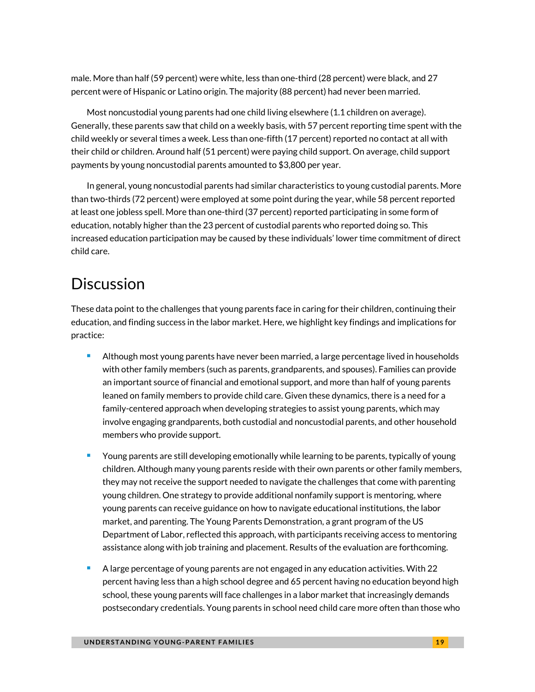male. More than half (59 percent) were white, less than one-third (28 percent) were black, and 27 percent were of Hispanic or Latino origin. The majority (88 percent) had never been married.

Most noncustodial young parents had one child living elsewhere (1.1 children on average). Generally, these parents saw that child on a weekly basis, with 57 percent reporting time spent with the child weekly or several times a week. Less than one-fifth (17 percent) reported no contact at all with their child or children. Around half (51 percent) were paying child support. On average, child support payments by young noncustodial parents amounted to \$3,800 per year.

In general, young noncustodial parents had similar characteristics to young custodial parents. More than two-thirds (72 percent) were employed at some point during the year, while 58 percent reported at least one jobless spell. More than one-third (37 percent) reported participating in some form of education, notably higher than the 23 percent of custodial parents who reported doing so. This increased education participation may be caused by these individuals' lower time commitment of direct child care.

# **Discussion**

These data point to the challenges that young parents face in caring for their children, continuing their education, and finding success in the labor market. Here, we highlight key findings and implications for practice:

- **Although most young parents have never been married, a large percentage lived in households** with other family members (such as parents, grandparents, and spouses). Families can provide an important source of financial and emotional support, and more than half of young parents leaned on family members to provide child care. Given these dynamics, there is a need for a family-centered approach when developing strategies to assist young parents, which may involve engaging grandparents, both custodial and noncustodial parents, and other household members who provide support.
- Young parents are still developing emotionally while learning to be parents, typically of young children. Although many young parents reside with their own parents or other family members, they may not receive the support needed to navigate the challenges that come with parenting young children. One strategy to provide additional nonfamily support is mentoring, where young parents can receive guidance on how to navigate educational institutions, the labor market, and parenting. The Young Parents Demonstration, a grant program of the US Department of Labor, reflected this approach, with participants receiving access to mentoring assistance along with job training and placement. Results of the evaluation are forthcoming.
- A large percentage of young parents are not engaged in any education activities. With 22 percent having less than a high school degree and 65 percent having no education beyond high school, these young parents will face challenges in a labor market that increasingly demands postsecondary credentials. Young parents in school need child care more often than those who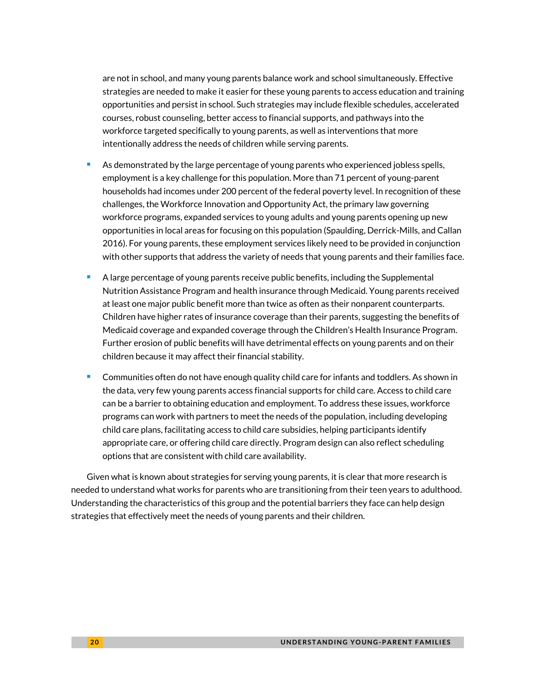are not in school, and many young parents balance work and school simultaneously. Effective strategies are needed to make it easier for these young parents to access education and training opportunities and persist in school. Such strategies may include flexible schedules, accelerated courses, robust counseling, better access to financial supports, and pathways into the workforce targeted specifically to young parents, as well as interventions that more intentionally address the needs of children while serving parents.

- As demonstrated by the large percentage of young parents who experienced jobless spells, employment is a key challenge for this population. More than 71 percent of young-parent households had incomes under 200 percent of the federal poverty level. In recognition of these challenges, the Workforce Innovation and Opportunity Act, the primary law governing workforce programs, expanded services to young adults and young parents opening up new opportunities in local areas for focusing on this population (Spaulding, Derrick-Mills, and Callan 2016). For young parents, these employment services likely need to be provided in conjunction with other supports that address the variety of needs that young parents and their families face.
- A large percentage of young parents receive public benefits, including the Supplemental Nutrition Assistance Program and health insurance through Medicaid. Young parents received at least one major public benefit more than twice as often as their nonparent counterparts. Children have higher rates of insurance coverage than their parents, suggesting the benefits of Medicaid coverage and expanded coverage through the Children's Health Insurance Program. Further erosion of public benefits will have detrimental effects on young parents and on their children because it may affect their financial stability.
- Communities often do not have enough quality child care for infants and toddlers. As shown in the data, very few young parents access financial supports for child care. Access to child care can be a barrier to obtaining education and employment. To address these issues, workforce programs can work with partners to meet the needs of the population, including developing child care plans, facilitating access to child care subsidies, helping participants identify appropriate care, or offering child care directly. Program design can also reflect scheduling options that are consistent with child care availability.

Given what is known about strategies for serving young parents, it is clear that more research is needed to understand what works for parents who are transitioning from their teen years to adulthood. Understanding the characteristics of this group and the potential barriers they face can help design strategies that effectively meet the needs of young parents and their children.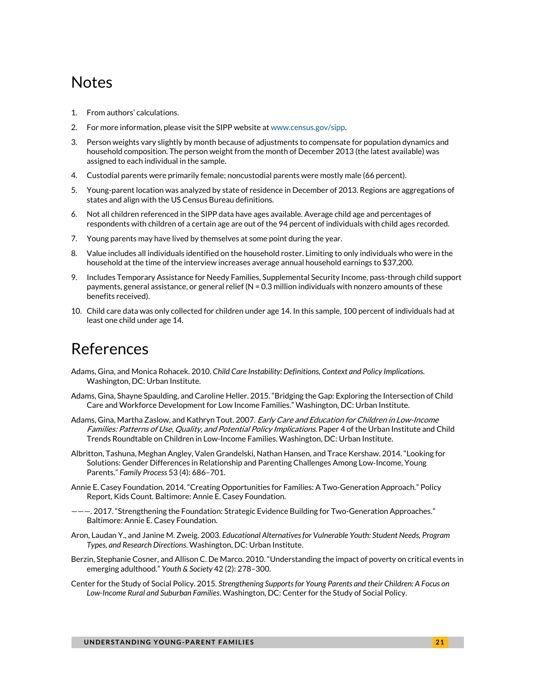# **Notes**

- 1. From authors' calculations.
- 2. For more information, please visit the SIPP website a[t www.census.gov/sipp.](http://www.census.gov/sipp)
- 3. Person weights vary slightly by month because of adjustments to compensate for population dynamics and household composition. The person weight from the month of December 2013 (the latest available) was assigned to each individual in the sample.
- 4. Custodial parents were primarily female; noncustodial parents were mostly male (66 percent).
- 5. Young-parent location was analyzed by state of residence in December of 2013. Regions are aggregations of states and align with the US Census Bureau definitions.
- 6. Not all children referenced in the SIPP data have ages available. Average child age and percentages of respondents with children of a certain age are out of the 94 percent of individuals with child ages recorded.
- 7. Young parents may have lived by themselves at some point during the year.
- 8. Value includes all individuals identified on the household roster. Limiting to only individuals who were in the household at the time of the interview increases average annual household earnings to \$37,200.
- 9. Includes Temporary Assistance for Needy Families, Supplemental Security Income, pass-through child support payments, general assistance, or general relief (N = 0.3 million individuals with nonzero amounts of these benefits received).
- 10. Child care data was only collected for children under age 14. In this sample, 100 percent of individuals had at least one child under age 14.

# References

- Adams, Gina, and Monica Rohacek. 2010. *Child Care Instability: Definitions, Context and Policy Implications*. Washington, DC: Urban Institute.
- Adams, Gina, Shayne Spaulding, and Caroline Heller. 2015. "Bridging the Gap: Exploring the Intersection of Child Care and Workforce Development for Low Income Families." Washington, DC: Urban Institute.
- Adams, Gina, Martha Zaslow, and Kathryn Tout. 2007. Early Care and Education for Children in Low-Income Families: Patterns of Use, Quality, and Potential Policy Implications. Paper 4 of the Urban Institute and Child Trends Roundtable on Children in Low-Income Families. Washington, DC: Urban Institute.
- Albritton, Tashuna, Meghan Angley, Valen Grandelski, Nathan Hansen, and Trace Kershaw. 2014. "Looking for Solutions: Gender Differences in Relationship and Parenting Challenges Among Low‐Income, Young Parents." *Family Process* 53 (4): 686–701.
- Annie E. Casey Foundation. 2014. "Creating Opportunities for Families: A Two-Generation Approach." Policy Report, Kids Count. Baltimore: Annie E. Casey Foundation.
- ———. 2017. "Strengthening the Foundation: Strategic Evidence Building for Two-Generation Approaches." Baltimore: Annie E. Casey Foundation.
- Aron, Laudan Y., and Janine M. Zweig. 2003. *Educational Alternatives for Vulnerable Youth: Student Needs, Program Types, and Research Directions*. Washington, DC: Urban Institute.
- Berzin, Stephanie Cosner, and Allison C. De Marco. 2010. "Understanding the impact of poverty on critical events in emerging adulthood." *Youth & Society* 42 (2): 278–300.
- Center for the Study of Social Policy. 2015. *Strengthening Supports for Young Parents and their Children: A Focus on Low-Income Rural and Suburban Families*. Washington, DC: Center for the Study of Social Policy.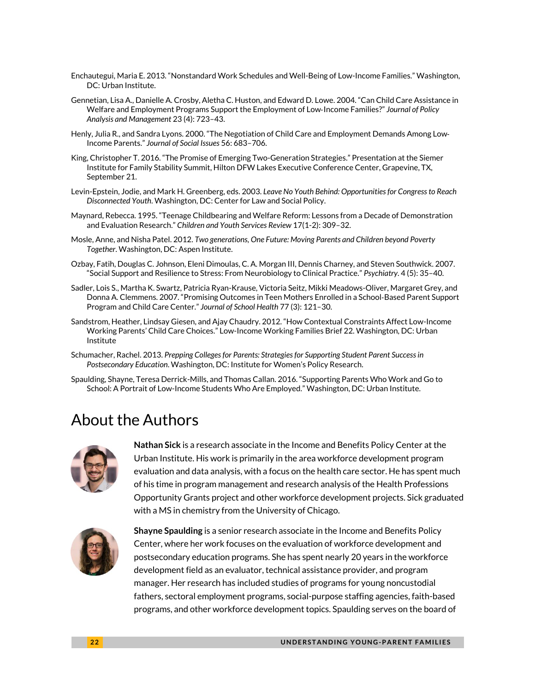- Enchautegui, Maria E. 2013. "Nonstandard Work Schedules and Well-Being of Low-Income Families." Washington, DC: Urban Institute.
- Gennetian, Lisa A., Danielle A. Crosby, Aletha C. Huston, and Edward D. Lowe. 2004. "Can Child Care Assistance in Welfare and Employment Programs Support the Employment of Low‐Income Families?" *Journal of Policy Analysis and Management* 23 (4): 723–43.
- Henly, Julia R., and Sandra Lyons. 2000. "The Negotiation of Child Care and Employment Demands Among Low‐ Income Parents." *Journal of Social Issues* 56: 683–706.
- King, Christopher T. 2016. "The Promise of Emerging Two-Generation Strategies." Presentation at the Siemer Institute for Family Stability Summit, Hilton DFW Lakes Executive Conference Center, Grapevine, TX, September 21.
- Levin-Epstein, Jodie, and Mark H. Greenberg, eds. 2003. *Leave No Youth Behind: Opportunities for Congress to Reach Disconnected Youth*. Washington, DC: Center for Law and Social Policy.
- Maynard, Rebecca. 1995. "Teenage Childbearing and Welfare Reform: Lessons from a Decade of Demonstration and Evaluation Research." *Children and Youth Services Review* 17(1-2): 309–32.
- Mosle, Anne, and Nisha Patel. 2012. *Two generations, One Future: Moving Parents and Children beyond Poverty Together*. Washington, DC: Aspen Institute.
- Ozbay, Fatih, Douglas C. Johnson, Eleni Dimoulas, C. A. Morgan III, Dennis Charney, and Steven Southwick. 2007. "Social Support and Resilience to Stress: From Neurobiology to Clinical Practice." *Psychiatry*. 4 (5): 35–40.
- Sadler, Lois S., Martha K. Swartz, Patricia Ryan-Krause, Victoria Seitz, Mikki Meadows-Oliver, Margaret Grey, and Donna A. Clemmens. 2007. "Promising Outcomes in Teen Mothers Enrolled in a School‐Based Parent Support Program and Child Care Center." *Journal of School Health* 77 (3): 121–30.
- Sandstrom, Heather, Lindsay Giesen, and Ajay Chaudry. 2012. "How Contextual Constraints Affect Low-Income Working Parents' Child Care Choices." Low-Income Working Families Brief 22. Washington, DC: Urban Institute
- Schumacher, Rachel. 2013. *Prepping Colleges for Parents: Strategies for Supporting Student Parent Success in Postsecondary Education*. Washington, DC: Institute for Women's Policy Research.
- Spaulding, Shayne, Teresa Derrick-Mills, and Thomas Callan. 2016. "Supporting Parents Who Work and Go to School: A Portrait of Low-Income Students Who Are Employed." Washington, DC: Urban Institute.

# About the Authors



**Nathan Sick** is a research associate in the Income and Benefits Policy Center at the Urban Institute. His work is primarily in the area workforce development program evaluation and data analysis, with a focus on the health care sector. He has spent much of his time in program management and research analysis of the Health Professions Opportunity Grants project and other workforce development projects. Sick graduated with a MS in chemistry from the University of Chicago.



**Shayne Spaulding** is a senior research associate in the Income and Benefits Policy Center, where her work focuses on the evaluation of workforce development and postsecondary education programs. She has spent nearly 20 years in the workforce development field as an evaluator, technical assistance provider, and program manager. Her research has included studies of programs for young noncustodial fathers, sectoral employment programs, social-purpose staffing agencies, faith-based programs, and other workforce development topics. Spaulding serves on the board of